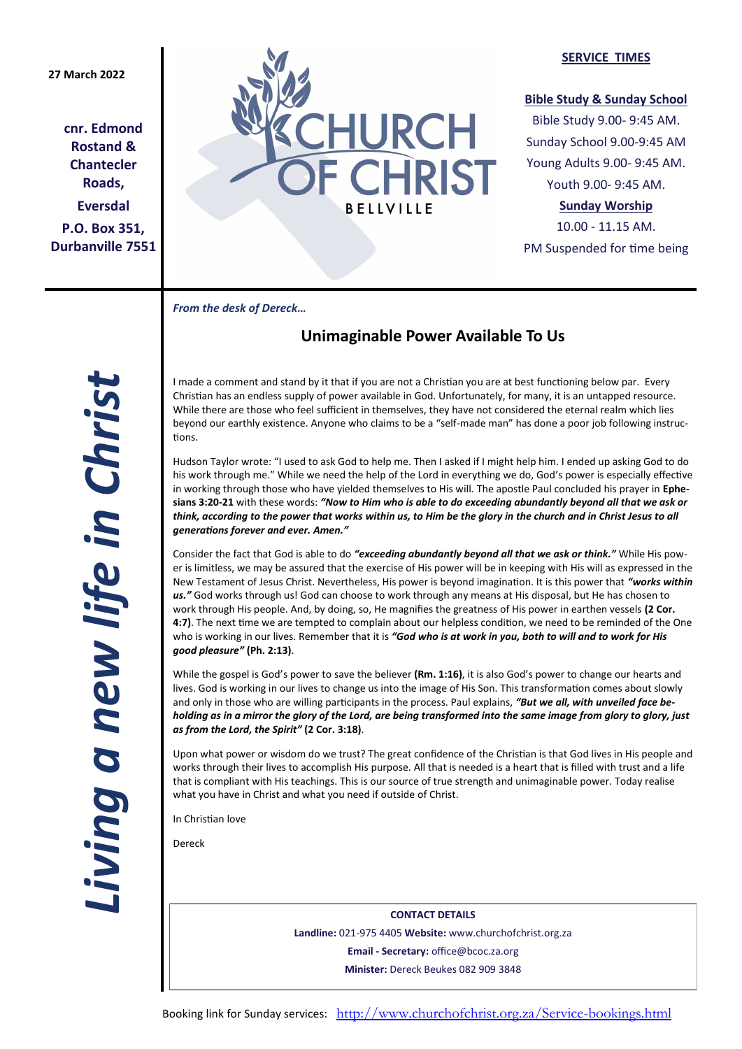## **27 March 2022**

**cnr. Edmond Rostand & Chantecler Roads, Eversdal P.O. Box 351, Durbanville 7551**



#### **SERVICE TIMES**

### **Bible Study & Sunday School**

Bible Study 9.00- 9:45 AM. Sunday School 9.00-9:45 AM Young Adults 9.00- 9:45 AM. Youth 9.00- 9:45 AM.

## **Sunday Worship**

10.00 - 11.15 AM. PM Suspended for time being

*From the desk of Dereck…* 

# **Unimaginable Power Available To Us**

I made a comment and stand by it that if you are not a Christian you are at best functioning below par. Every Christian has an endless supply of power available in God. Unfortunately, for many, it is an untapped resource. While there are those who feel sufficient in themselves, they have not considered the eternal realm which lies beyond our earthly existence. Anyone who claims to be a "self-made man" has done a poor job following instructions.

Hudson Taylor wrote: "I used to ask God to help me. Then I asked if I might help him. I ended up asking God to do his work through me." While we need the help of the Lord in everything we do, God's power is especially effective in working through those who have yielded themselves to His will. The apostle Paul concluded his prayer in **Ephesians 3:20-21** with these words: *"Now to Him who is able to do exceeding abundantly beyond all that we ask or think, according to the power that works within us, to Him be the glory in the church and in Christ Jesus to all generations forever and ever. Amen."*

Consider the fact that God is able to do *"exceeding abundantly beyond all that we ask or think."* While His power is limitless, we may be assured that the exercise of His power will be in keeping with His will as expressed in the New Testament of Jesus Christ. Nevertheless, His power is beyond imagination. It is this power that *"works within us."* God works through us! God can choose to work through any means at His disposal, but He has chosen to work through His people. And, by doing, so, He magnifies the greatness of His power in earthen vessels **(2 Cor. 4:7)**. The next time we are tempted to complain about our helpless condition, we need to be reminded of the One who is working in our lives. Remember that it is *"God who is at work in you, both to will and to work for His good pleasure"* **(Ph. 2:13)**.

While the gospel is God's power to save the believer **(Rm. 1:16)**, it is also God's power to change our hearts and lives. God is working in our lives to change us into the image of His Son. This transformation comes about slowly and only in those who are willing participants in the process. Paul explains, *"But we all, with unveiled face beholding as in a mirror the glory of the Lord, are being transformed into the same image from glory to glory, just as from the Lord, the Spirit"* **(2 Cor. 3:18)**.

Upon what power or wisdom do we trust? The great confidence of the Christian is that God lives in His people and works through their lives to accomplish His purpose. All that is needed is a heart that is filled with trust and a life that is compliant with His teachings. This is our source of true strength and unimaginable power. Today realise what you have in Christ and what you need if outside of Christ.

In Christian love

Dereck

**CONTACT DETAILS Landline:** 021-975 4405 **Website:** www.churchofchrist.org.za **Email - Secretary:** office@bcoc.za.org **Minister:** Dereck Beukes 082 909 3848